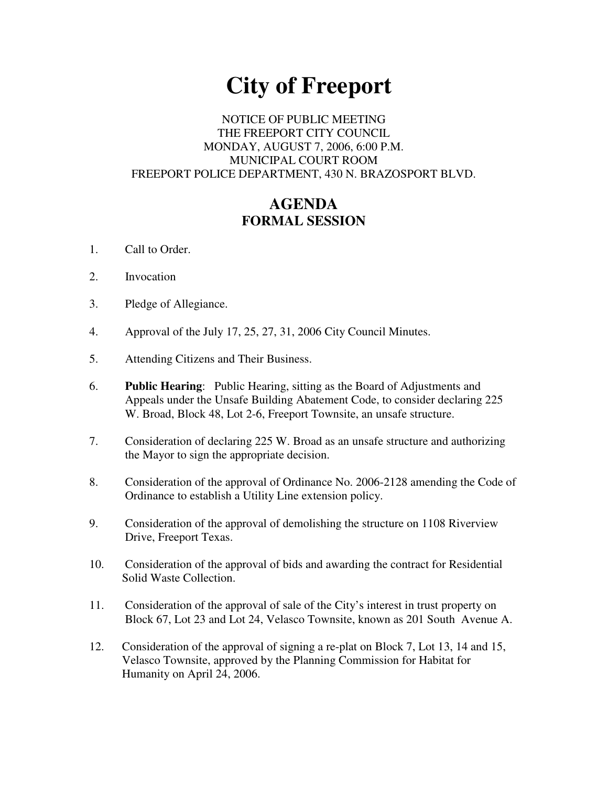# **City of Freeport**

## NOTICE OF PUBLIC MEETING THE FREEPORT CITY COUNCIL MONDAY, AUGUST 7, 2006, 6:00 P.M. MUNICIPAL COURT ROOM FREEPORT POLICE DEPARTMENT, 430 N. BRAZOSPORT BLVD.

# **AGENDA FORMAL SESSION**

- 1. Call to Order.
- 2. Invocation
- 3. Pledge of Allegiance.
- 4. Approval of the July 17, 25, 27, 31, 2006 City Council Minutes.
- 5. Attending Citizens and Their Business.
- 6. **Public Hearing**: Public Hearing, sitting as the Board of Adjustments and Appeals under the Unsafe Building Abatement Code, to consider declaring 225 W. Broad, Block 48, Lot 2-6, Freeport Townsite, an unsafe structure.
- 7. Consideration of declaring 225 W. Broad as an unsafe structure and authorizing the Mayor to sign the appropriate decision.
- 8. Consideration of the approval of Ordinance No. 2006-2128 amending the Code of Ordinance to establish a Utility Line extension policy.
- 9. Consideration of the approval of demolishing the structure on 1108 Riverview Drive, Freeport Texas.
- 10. Consideration of the approval of bids and awarding the contract for Residential Solid Waste Collection.
- 11. Consideration of the approval of sale of the City's interest in trust property on Block 67, Lot 23 and Lot 24, Velasco Townsite, known as 201 South Avenue A.
- 12. Consideration of the approval of signing a re-plat on Block 7, Lot 13, 14 and 15, Velasco Townsite, approved by the Planning Commission for Habitat for Humanity on April 24, 2006.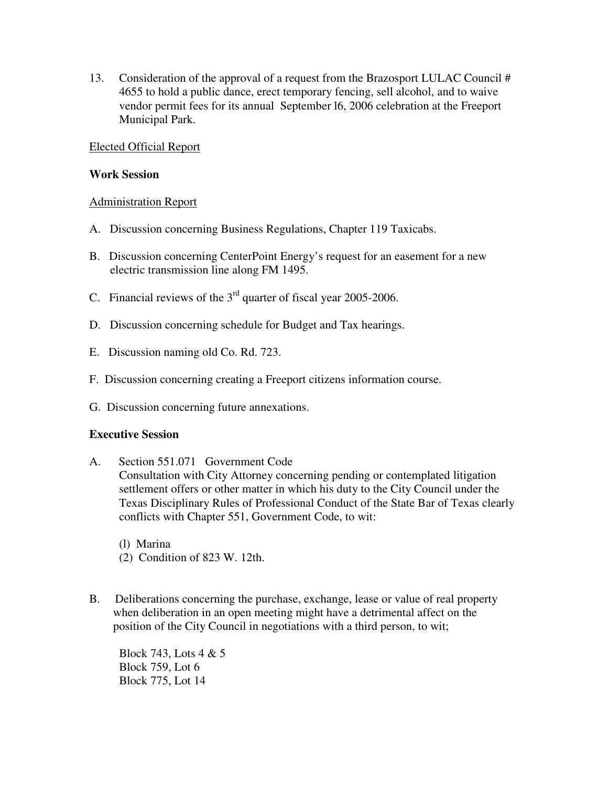13. Consideration of the approval of a request from the Brazosport LULAC Council # 4655 to hold a public dance, erect temporary fencing, sell alcohol, and to waive vendor permit fees for its annual September l6, 2006 celebration at the Freeport Municipal Park.

## Elected Official Report

#### **Work Session**

## Administration Report

- A. Discussion concerning Business Regulations, Chapter 119 Taxicabs.
- B. Discussion concerning CenterPoint Energy's request for an easement for a new electric transmission line along FM 1495.
- C. Financial reviews of the  $3<sup>rd</sup>$  quarter of fiscal year 2005-2006.
- D. Discussion concerning schedule for Budget and Tax hearings.
- E. Discussion naming old Co. Rd. 723.
- F. Discussion concerning creating a Freeport citizens information course.
- G. Discussion concerning future annexations.

#### **Executive Session**

A. Section 551.071 Government Code

Consultation with City Attorney concerning pending or contemplated litigation settlement offers or other matter in which his duty to the City Council under the Texas Disciplinary Rules of Professional Conduct of the State Bar of Texas clearly conflicts with Chapter 551, Government Code, to wit:

- (l) Marina (2) Condition of 823 W. 12th.
- B. Deliberations concerning the purchase, exchange, lease or value of real property when deliberation in an open meeting might have a detrimental affect on the position of the City Council in negotiations with a third person, to wit;

Block 743, Lots 4 & 5 Block 759, Lot 6 Block 775, Lot 14